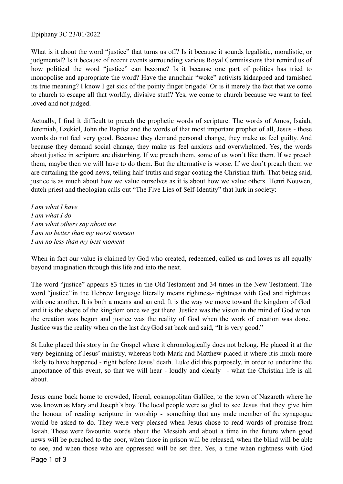## Epiphany 3C 23/01/2022

What is it about the word "justice" that turns us off? Is it because it sounds legalistic, moralistic, or judgmental? Is it because of recent events surrounding various Royal Commissions that remind us of how political the word "justice" can become? Is it because one part of politics has tried to monopolise and appropriate the word? Have the armchair "woke" activists kidnapped and tarnished its true meaning? I know I get sick of the pointy finger brigade! Or is it merely the fact that we come to church to escape all that worldly, divisive stuff? Yes, we come to church because we want to feel loved and not judged.

Actually, I find it difficult to preach the prophetic words of scripture. The words of Amos, Isaiah, Jeremiah, Ezekiel, John the Baptist and the words of that most important prophet of all, Jesus - these words do not feel very good. Because they demand personal change, they make us feel guilty. And because they demand social change, they make us feel anxious and overwhelmed. Yes, the words about justice in scripture are disturbing. If we preach them, some of us won't like them. If we preach them, maybe then we will have to do them. But the alternative is worse. If we don't preach them we are curtailing the good news, telling half-truths and sugar-coating the Christian faith. That being said, justice is as much about how we value ourselves as it is about how we value others. Henri Nouwen, dutch priest and theologian calls out "The Five Lies of Self-Identity" that lurk in society:

*I am what I have I am what I do I am what others say about me I am no better than my worst moment I am no less than my best moment*

When in fact our value is claimed by God who created, redeemed, called us and loves us all equally beyond imagination through this life and into the next.

The word "justice" appears 83 times in the Old Testament and 34 times in the New Testament. The word "justice" in the Hebrew language literally means rightness- rightness with God and rightness with one another. It is both a means and an end. It is the way we move toward the kingdom of God and it is the shape of the kingdom once we get there. Justice was the vision in the mind of God when the creation was begun and justice was the reality of God when the work of creation was done. Justice was the reality when on the last day God sat back and said, "It is very good."

St Luke placed this story in the Gospel where it chronologically does not belong. He placed it at the very beginning of Jesus' ministry, whereas both Mark and Matthew placed it where itis much more likely to have happened - right before Jesus' death. Luke did this purposely, in order to underline the importance of this event, so that we will hear - loudly and clearly - what the Christian life is all about.

Jesus came back home to crowded, liberal, cosmopolitan Galilee, to the town of Nazareth where he was known as Mary and Joseph's boy. The local people were so glad to see Jesus that they give him the honour of reading scripture in worship - something that any male member of the synagogue would be asked to do. They were very pleased when Jesus chose to read words of promise from Isaiah. These were favourite words about the Messiah and about a time in the future when good news will be preached to the poor, when those in prison will be released, when the blind will be able to see, and when those who are oppressed will be set free. Yes, a time when rightness with God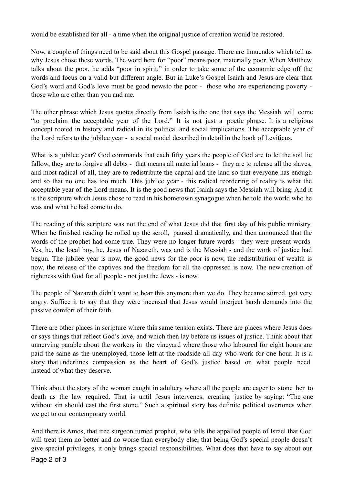would be established for all - a time when the original justice of creation would be restored.

Now, a couple of things need to be said about this Gospel passage. There are innuendos which tell us why Jesus chose these words. The word here for "poor" means poor, materially poor. When Matthew talks about the poor, he adds "poor in spirit," in order to take some of the economic edge off the words and focus on a valid but different angle. But in Luke's Gospel Isaiah and Jesus are clear that God's word and God's love must be good newsto the poor - those who are experiencing poverty those who are other than you and me.

The other phrase which Jesus quotes directly from Isaiah is the one that says the Messiah will come "to proclaim the acceptable year of the Lord." It is not just a poetic phrase. It is a religious concept rooted in history and radical in its political and social implications. The acceptable year of the Lord refers to the jubilee year - a social model described in detail in the book of Leviticus.

What is a jubilee year? God commands that each fifty years the people of God are to let the soil lie fallow, they are to forgive all debts - that means all material loans - they are to release all the slaves, and most radical of all, they are to redistribute the capital and the land so that everyone has enough and so that no one has too much. This jubilee year - this radical reordering of reality is what the acceptable year of the Lord means. It is the good news that Isaiah says the Messiah will bring. And it is the scripture which Jesus chose to read in his hometown synagogue when he told the world who he was and what he had come to do.

The reading of this scripture was not the end of what Jesus did that first day of his public ministry. When he finished reading he rolled up the scroll, paused dramatically, and then announced that the words of the prophet had come true. They were no longer future words - they were present words. Yes, he, the local boy, he, Jesus of Nazareth, was and is the Messiah - and the work of justice had begun. The jubilee year is now, the good news for the poor is now, the redistribution of wealth is now, the release of the captives and the freedom for all the oppressed is now. The newcreation of rightness with God for all people - not just the Jews - is now.

The people of Nazareth didn't want to hear this anymore than we do. They became stirred, got very angry. Suffice it to say that they were incensed that Jesus would interject harsh demands into the passive comfort of their faith.

There are other places in scripture where this same tension exists. There are places where Jesus does or says things that reflect God's love, and which then lay before us issues of justice. Think about that unnerving parable about the workers in the vineyard where those who laboured for eight hours are paid the same as the unemployed, those left at the roadside all day who work for one hour. It is a story that underlines compassion as the heart of God's justice based on what people need instead of what they deserve.

Think about the story of the woman caught in adultery where all the people are eager to stone her to death as the law required. That is until Jesus intervenes, creating justice by saying: "The one without sin should cast the first stone." Such a spiritual story has definite political overtones when we get to our contemporary world.

And there is Amos, that tree surgeon turned prophet, who tells the appalled people of Israel that God will treat them no better and no worse than everybody else, that being God's special people doesn't give special privileges, it only brings special responsibilities. What does that have to say about our